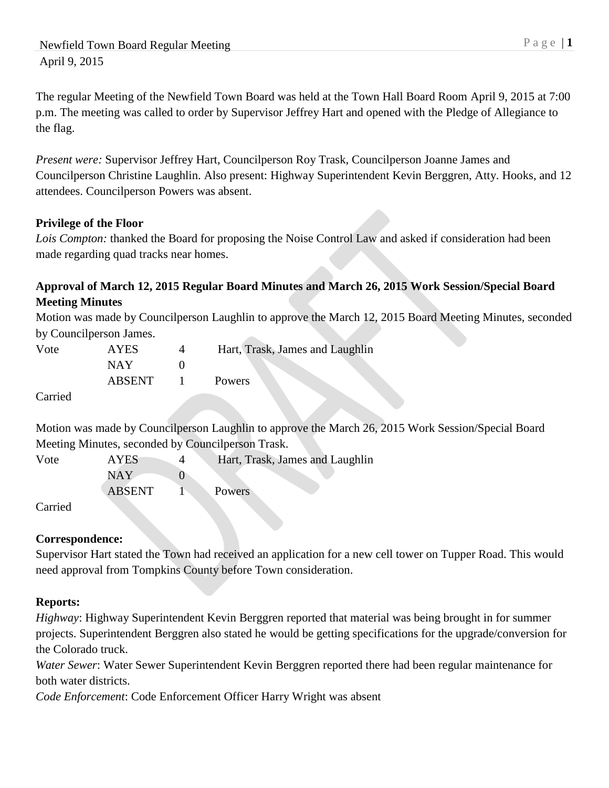The regular Meeting of the Newfield Town Board was held at the Town Hall Board Room April 9, 2015 at 7:00 p.m. The meeting was called to order by Supervisor Jeffrey Hart and opened with the Pledge of Allegiance to the flag.

*Present were:* Supervisor Jeffrey Hart, Councilperson Roy Trask, Councilperson Joanne James and Councilperson Christine Laughlin. Also present: Highway Superintendent Kevin Berggren, Atty. Hooks, and 12 attendees. Councilperson Powers was absent.

# **Privilege of the Floor**

*Lois Compton:* thanked the Board for proposing the Noise Control Law and asked if consideration had been made regarding quad tracks near homes.

# **Approval of March 12, 2015 Regular Board Minutes and March 26, 2015 Work Session/Special Board Meeting Minutes**

Motion was made by Councilperson Laughlin to approve the March 12, 2015 Board Meeting Minutes, seconded by Councilperson James.

| Vote   | <b>AYES</b>   | Hart, Trask, James and Laughlin |
|--------|---------------|---------------------------------|
|        | NAY           |                                 |
|        | <b>ABSENT</b> | Powers                          |
| $\sim$ |               |                                 |

Carried

Motion was made by Councilperson Laughlin to approve the March 26, 2015 Work Session/Special Board Meeting Minutes, seconded by Councilperson Trask.

Vote AYES 4 Hart, Trask, James and Laughlin  $NAY$  0 ABSENT 1 Powers

Carried

### **Correspondence:**

Supervisor Hart stated the Town had received an application for a new cell tower on Tupper Road. This would need approval from Tompkins County before Town consideration.

### **Reports:**

*Highway*: Highway Superintendent Kevin Berggren reported that material was being brought in for summer projects. Superintendent Berggren also stated he would be getting specifications for the upgrade/conversion for the Colorado truck.

*Water Sewer*: Water Sewer Superintendent Kevin Berggren reported there had been regular maintenance for both water districts.

*Code Enforcement*: Code Enforcement Officer Harry Wright was absent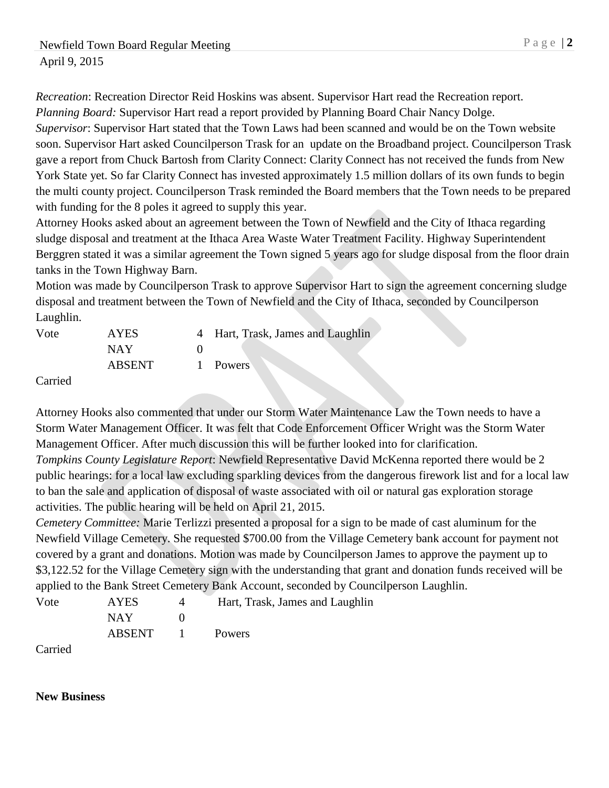*Recreation*: Recreation Director Reid Hoskins was absent. Supervisor Hart read the Recreation report. *Planning Board:* Supervisor Hart read a report provided by Planning Board Chair Nancy Dolge. *Supervisor*: Supervisor Hart stated that the Town Laws had been scanned and would be on the Town website soon. Supervisor Hart asked Councilperson Trask for an update on the Broadband project. Councilperson Trask gave a report from Chuck Bartosh from Clarity Connect: Clarity Connect has not received the funds from New York State yet. So far Clarity Connect has invested approximately 1.5 million dollars of its own funds to begin the multi county project. Councilperson Trask reminded the Board members that the Town needs to be prepared with funding for the 8 poles it agreed to supply this year.

Attorney Hooks asked about an agreement between the Town of Newfield and the City of Ithaca regarding sludge disposal and treatment at the Ithaca Area Waste Water Treatment Facility. Highway Superintendent Berggren stated it was a similar agreement the Town signed 5 years ago for sludge disposal from the floor drain tanks in the Town Highway Barn.

Motion was made by Councilperson Trask to approve Supervisor Hart to sign the agreement concerning sludge disposal and treatment between the Town of Newfield and the City of Ithaca, seconded by Councilperson Laughlin.

| Vote | <b>AYES</b> | 4 Hart, Trask, James and Laughlin |
|------|-------------|-----------------------------------|
|      | <b>NAY</b>  |                                   |
|      | ABSENT      | 1 Powers                          |

Carried

Attorney Hooks also commented that under our Storm Water Maintenance Law the Town needs to have a Storm Water Management Officer. It was felt that Code Enforcement Officer Wright was the Storm Water Management Officer. After much discussion this will be further looked into for clarification. *Tompkins County Legislature Report*: Newfield Representative David McKenna reported there would be 2 public hearings: for a local law excluding sparkling devices from the dangerous firework list and for a local law to ban the sale and application of disposal of waste associated with oil or natural gas exploration storage activities. The public hearing will be held on April 21, 2015.

*Cemetery Committee:* Marie Terlizzi presented a proposal for a sign to be made of cast aluminum for the Newfield Village Cemetery. She requested \$700.00 from the Village Cemetery bank account for payment not covered by a grant and donations. Motion was made by Councilperson James to approve the payment up to \$3,122.52 for the Village Cemetery sign with the understanding that grant and donation funds received will be applied to the Bank Street Cemetery Bank Account, seconded by Councilperson Laughlin.

| Vote | <b>AYES</b> |              | Hart, Trask, James and Laughlin |
|------|-------------|--------------|---------------------------------|
|      | NAY .       |              |                                 |
|      | ABSENT      | $\mathbf{I}$ | <b>Powers</b>                   |
|      |             |              |                                 |

Carried

**New Business**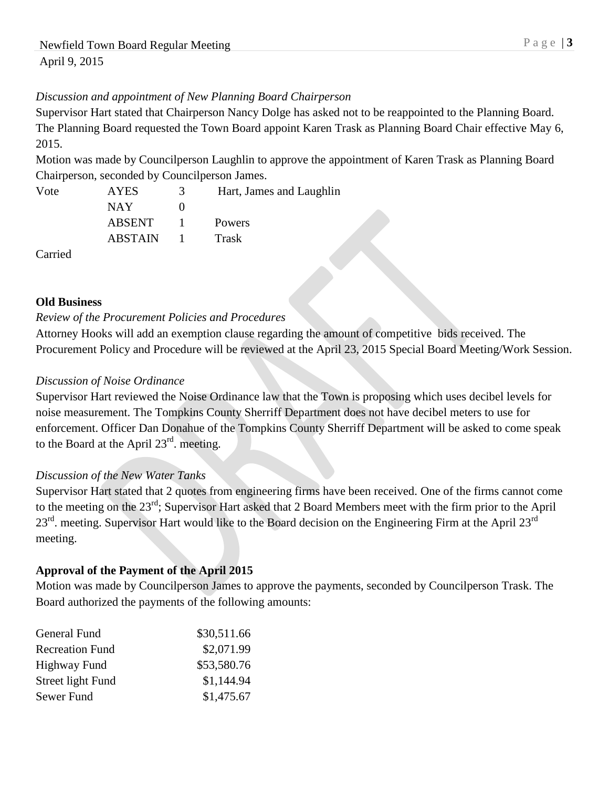# *Discussion and appointment of New Planning Board Chairperson*

Supervisor Hart stated that Chairperson Nancy Dolge has asked not to be reappointed to the Planning Board. The Planning Board requested the Town Board appoint Karen Trask as Planning Board Chair effective May 6, 2015.

Motion was made by Councilperson Laughlin to approve the appointment of Karen Trask as Planning Board Chairperson, seconded by Councilperson James.

| <b>AYES</b> | 3 | Hart, James and Laughlin        |
|-------------|---|---------------------------------|
| <b>NAY</b>  |   |                                 |
| ABSENT      |   | Powers                          |
| ABSTAIN     |   | Trask                           |
|             |   | $\sim$ 1 $\sim$<br>$\mathbf{I}$ |

Carried

### **Old Business**

### *Review of the Procurement Policies and Procedures*

Attorney Hooks will add an exemption clause regarding the amount of competitive bids received. The Procurement Policy and Procedure will be reviewed at the April 23, 2015 Special Board Meeting/Work Session.

## *Discussion of Noise Ordinance*

Supervisor Hart reviewed the Noise Ordinance law that the Town is proposing which uses decibel levels for noise measurement. The Tompkins County Sherriff Department does not have decibel meters to use for enforcement. Officer Dan Donahue of the Tompkins County Sherriff Department will be asked to come speak to the Board at the April  $23<sup>rd</sup>$ . meeting.

### *Discussion of the New Water Tanks*

Supervisor Hart stated that 2 quotes from engineering firms have been received. One of the firms cannot come to the meeting on the 23<sup>rd</sup>; Supervisor Hart asked that 2 Board Members meet with the firm prior to the April  $23<sup>rd</sup>$ . meeting. Supervisor Hart would like to the Board decision on the Engineering Firm at the April  $23<sup>rd</sup>$ meeting.

### **Approval of the Payment of the April 2015**

Motion was made by Councilperson James to approve the payments, seconded by Councilperson Trask. The Board authorized the payments of the following amounts:

| General Fund           | \$30,511.66 |
|------------------------|-------------|
| <b>Recreation Fund</b> | \$2,071.99  |
| Highway Fund           | \$53,580.76 |
| Street light Fund      | \$1,144.94  |
| Sewer Fund             | \$1,475.67  |